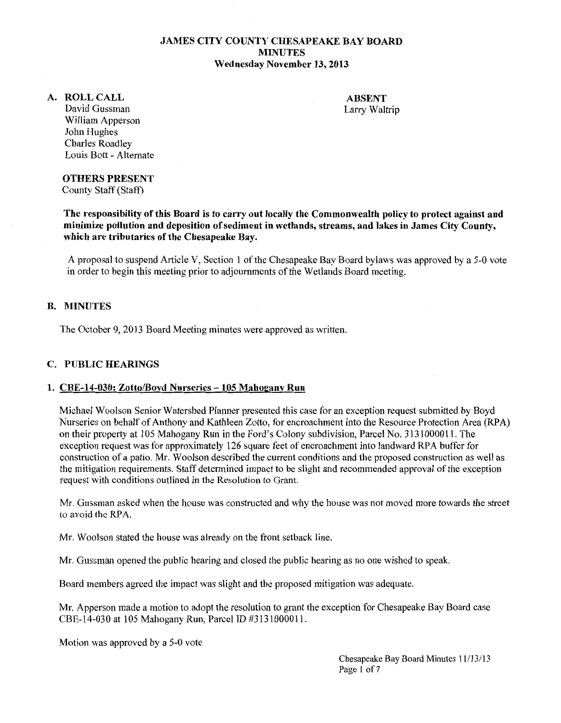# JAMES CITY COUNTY CHESAPEAKE BAY BOARD MINUTES Wednesday November 13, 2013

#### A. ROLLCALL

ABSENT Larry Waltrip

David Gussman William Apperson John Hughes Charles Roadley Louis Bott - Alternate

#### OTHERS PRESENT

County Staff (Staff)

The responsibility of this Board is to carry out locally the Commonwealth policy to protect against and minimize pollution and deposition of sediment in wetlands, streams, and lakes in James City County, which are tributaries of the Chesapeake Bay.

A proposal to suspend Article V, Section 1 of the Chesapeake Bay Board bylaws was approved by a 5-0 vote in order to begin this meeting prior to adjournments of the Wetlands Board meeting.

# B. MINUTES

The October 9, 2013 Board Meeting minutes were approved as written.

# C. PUBLIC HEARINGS

#### 1. CBE-14-030: Zotto/Boyd Nurseries - 105 Mahogany Run

Michael Woolson Senior Watershed Planner presented this case for an exception request submitted by Boyd Nurseries on behalf of Anthony and Kathleen Zotto, for encroachment into the Resource Protection Area (RP A) on their property at 105 Mahogany Run in the Ford's Colony subdivision, Parcel No. 3131000011. The exception request was for approximately 126 square feet of encroachment into landward RPA buffer for construction of a patio. Mr. Woolson described the current conditions and the proposed construction as well as the mitigation requirements. Staff determined impact to be slight and recommended approval of the exception request with conditions outlined in the Resolution to Grant.

Mr. Gussman asked when the house was constructed and why the house was not moved more towards the street to avoid the RPA.

Mr. Woolson stated the house was already on the front setback line.

Mr. Gussman opened the public hearing and closed the public hearing as no one wished to speak.

Board members agreed the impact was slight and the proposed mitigation was adequate.

Mr. Apperson made a motion to adopt the resolution to grant the exception for Chesapeake Bay Board case CBE-14-030 at 105 Mahogany Run, Parcel ID #3131 000011.

Motion was approved by a 5-0 vote

Chesapeake Bay Board Minutes 11/13/13 Page 1 of 7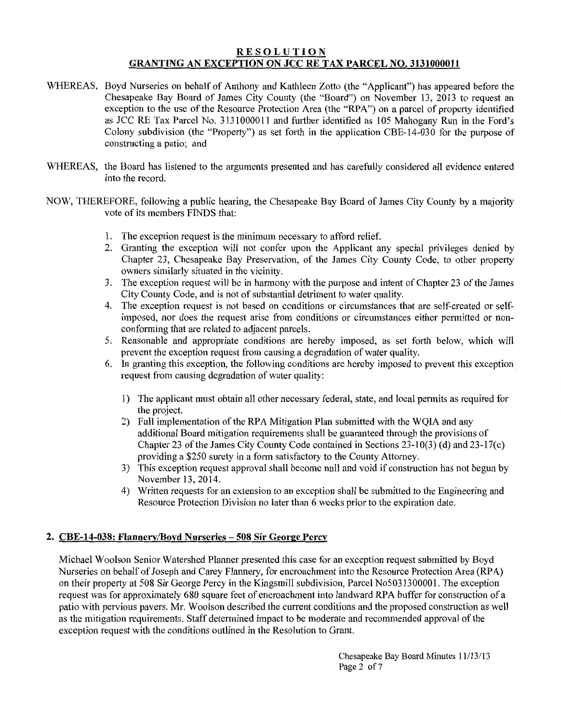# **RESOLUTION** GRANTING AN EXCEPTION ON JCC RE TAX PARCEL NO. 3131000011

- WHEREAS, Boyd Nurseries on behalf of Anthony and Kathleen Zotto (the "Applicant") has appeared before the Chesapeake Bay Board of James City County (the "Board") on November 13, 2013 to request an exception to the use of the Resource Protection Area (the "RPA") on a parcel of property identified as JCC RE Tax Parcel No. 3131000011 and further identified as 105 Mahogany Run in the Ford's Colony subdivision (the "Property") as set forth in the application CBE-14-030 for the purpose of constructing a patio; and
- WHEREAS, the Board has listened to the arguments presented and has carefully considered all evidence entered into the record.
- NOW, THEREFORE, following a public hearing, the Chesapeake Bay Board of James City County by a majority vote of its members FINDS that:
	- 1. The exception request is the minimum necessary to afford relief.
	- 2. Granting the exception will not confer upon the Applicant any special privileges denied by Chapter 23, Chesapeake Bay Preservation, of the James City County Code, to other property owners similarly situated in the vicinity.
	- 3. The exception request will be in harmony with the purpose and intent of Chapter 23 of the James City County Code, and is not of substantial detriment to water quality.
	- 4. The exception request is not based on conditions or circumstances that are self-created or selfimposed, nor does the request arise from conditions or circumstances either permitted or nonconforming that are related to adjacent parcels.
	- 5. Reasonable and appropriate conditions are hereby imposed, as set forth below, which will prevent the exception request from causing a degradation of water quality.
	- 6. In granting this exception, the following conditions are hereby imposed to prevent this exception request from causing degradation of water quality:
		- 1) The applicant must obtain all other necessary federal, state, and local permits as required for the project.
		- 2) Full implementation of the RPA Mitigation Plan submitted with the WQIA and any additional Board mitigation requirements shall be guaranteed through the provisions of Chapter 23 of the James City County Code contained in Sections 23-10(3) (d) and 23-17(c) providing a \$250 surety in a form satisfactory to the County Attorney.
		- 3) This exception request approval shall become null and void if construction has not begun by November 13, 2014.
		- 4) Written requests for an extension to an exception shall be submitted to the Engineering and Resource Protection Division no later than 6 weeks prior to the expiration date.

# 2. CBE-14-038: Flannery/Boyd Nurseries- 508 Sir George Percy

Michael Woolson Senior Watershed Planner presented this case for an exception request submitted by Boyd Nurseries on behalf of Joseph and Carey Flannery, for encroachment into the Resource Protection Area (RP A) on their property at 508 Sir George Percy in the Kingsmill subdivision, Parcel No5031300001. The exception request was for approximately 680 square feet of encroachment into landward RPA buffer for construction of a patio with pervious pavers. Mr. Woolson described the current conditions and the proposed construction as well as the mitigation requirements. Staff determined impact to be moderate and recommended approval of the exception request with the conditions outlined in the Resolution to Grant.

> Chesapeake Bay Board Minutes 11/13/13 Page 2 of 7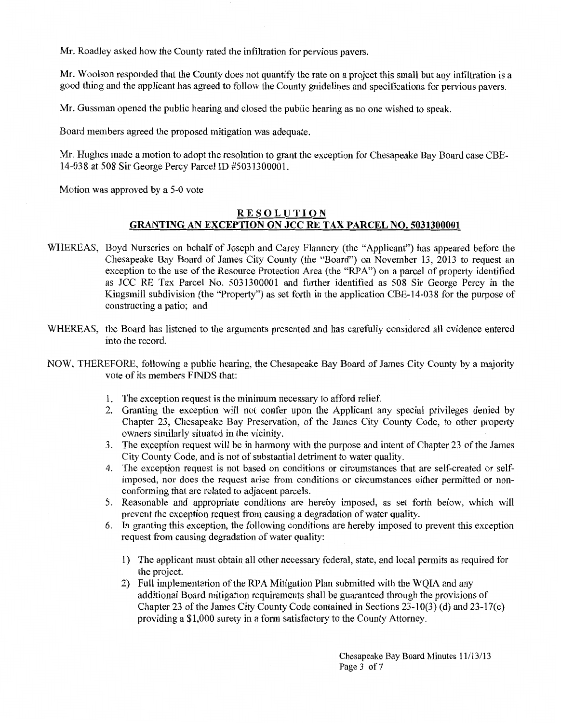Mr. Roadley asked how the County rated the infiltration for pervious pavers.

Mr. Woolson responded that the County does not quantify the rate on a project this small but any infiltration is a good thing and the applicant has agreed to follow the County guidelines and specifications for pervious pavers.

Mr. Gussman opened the public hearing and closed the public hearing as no one wished to speak.

Board members agreed the proposed mitigation was adequate.

Mr. Hughes made a motion to adopt the resolution to grant the exception for Chesapeake Bay Board case CBE-14-038 at 508 Sir George Percy Parcel ID #5031300001.

Motion was approved by a 5-0 vote

# **RESOLUTION GRANTING AN EXCEPTION ON JCC RE TAX PARCEL NO. 5031300001**

- WHEREAS, Boyd Nurseries on behalf of Joseph and Carey Flannery (the "Applicant") has appeared before the Chesapeake Bay Board of James City County (the "Board") on November 13, 2013 to request an exception to the use of the Resource Protection Area (the "RPA") on a parcel of property identified as JCC RE Tax Parcel No. 5031300001 and further identified as 508 Sir George Percy in the Kingsmill subdivision (the "Property") as set forth in the application CBE-14-038 for the purpose of constructing a patio; and
- WHEREAS, the Board has listened to the arguments presented and has carefully considered all evidence entered into the record.
- NOW, THEREFORE, following a public hearing, the Chesapeake Bay Board of James City County by a majority vote of its members FINDS that:
	- 1. The exception request is the minimum necessary to afford relief.
	- 2. Granting the exception will not confer upon the Applicant any special privileges denied by Chapter 23, Chesapeake Bay Preservation, of the James City County Code, to other property owners similarly situated in the vicinity.
	- 3. The exception request will be in harmony with the purpose and intent of Chapter 23 of the James City County Code, and is not of substantial detriment to water quality.
	- 4. The exception request is not based on conditions or circumstances that are self-created or selfimposed, nor does the request arise from conditions or circumstances either permitted or nonconforming that are related to adjacent parcels.
	- 5. Reasonable and appropriate conditions are hereby imposed, as set forth below, which will prevent the exception request from causing a degradation of water quality.
	- 6. In granting this exception, the following conditions are hereby imposed to prevent this exception request from causing degradation of water quality:
		- 1) The applicant must obtain all other necessary federal, state, and local permits as required for the project.
		- 2) Full implementation of the RPA Mitigation Plan submitted with the WQIA and any additional Board mitigation requirements shall be guaranteed through the provisions of Chapter 23 of the James City County Code contained in Sections 23-10(3) (d) and 23-17(c) providing a \$1,000 surety in a form satisfactory to the County Attorney.

Chesapeake Bay Board Minutes 11/13/13 Page 3 of 7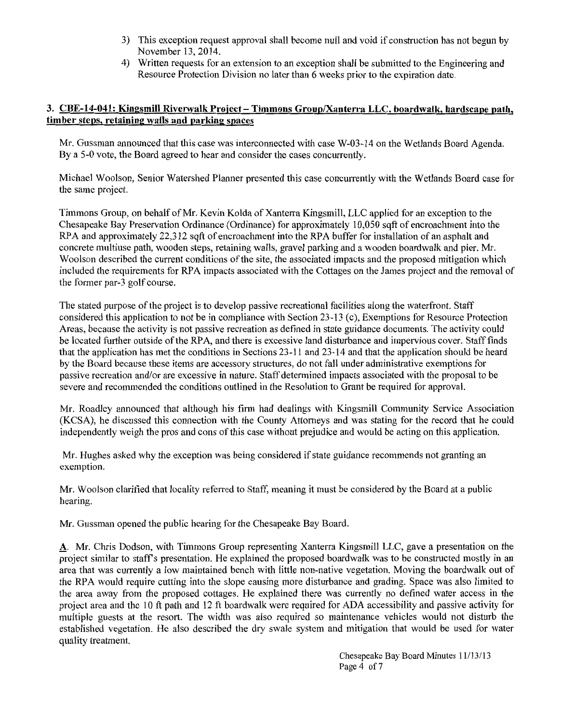- 3) This exception request approval shall become null and void if construction has not begun by November 13, 2014.
- 4) Written requests for an extension to an exception shall be submitted to the Engineering and Resource Protection Division no later than 6 weeks prior to the expiration date.

# 3. CBE-14-041: Kingsmill Riverwalk Project- Timmons Group/Xanterra LLC, boardwalk, hardscape path, timber steps, retaining walls and parking spaces

Mr. Gussman announced that this case was interconnected with case W-03-14 on the Wetlands Board Agenda. By a 5-0 vote, the Board agreed to hear and consider the cases concurrently.

Michael Woolson, Senior Watershed Planner presented this case concurrently with the Wetlands Board case for the same project.

Timmons Group, on behalf of Mr. Kevin Kolda of Xanterra Kingsmill, LLC applied for an exception to the Chesapeake Bay Preservation Ordinance (Ordinance) for approximately 10,050 sqft of encroachment into the RPA and approximately 22,312 sqft of encroachment into the RPA buffer for installation of an asphalt and concrete multiuse path, wooden steps, retaining walls, gravel parking and a wooden boardwalk and pier. Mr. Woolson described the current conditions of the site, the associated impacts and the proposed mitigation which included the requirements for RPA impacts associated with the Cottages on the James project and the removal of the former par-3 golf course.

The stated purpose of the project is to develop passive recreational facilities along the waterfront. Staff considered this application to not be in compliance with Section 23-13 (c), Exemptions for Resource Protection Areas, because the activity is not passive recreation as defined in state guidance documents. The activity could be located further outside of the RPA, and there is excessive land disturbance and impervious cover. Staff finds that the application has met the conditions in Sections 23-11 and 23-14 and that the application should be heard by the Board because these items are accessory structures, do not fall under administrative exemptions for passive recreation and/or are excessive in nature. Staff determined impacts associated with the proposal to be severe and recommended the conditions outlined in the Resolution to Grant be required for approval.

Mr. Roadley announced that although his firm had dealings with Kingsmill Community Service Association (KCSA), he discussed this connection with the County Attorneys and was stating for the record that he could independently weigh the pros and cons of this case without prejudice and would be acting on this application.

Mr. Hughes asked why the exception was being considered if state guidance recommends not granting an exemption.

Mr. Woolson clarified that locality referred to Staff, meaning it must be considered by the Board at a public hearing.

Mr. Gussman opened the public hearing for the Chesapeake Bay Board.

A. Mr. Chris Dodson, with Timmons Group representing Xanterra Kingsmill LLC, gave a presentation on the project similar to staff's presentation. He explained the proposed boardwalk was to be constructed mostly in an area that was currently a low maintained bench with little non-native vegetation. Moving the boardwalk out of the RPA would require cutting into the slope causing more disturbance and grading. Space was also limited to the area away from the proposed cottages. He explained there was currently no defined water access in the project area and the 10ft path and 12ft boardwalk were required for ADA accessibility and passive activity for multiple guests at the resort. The width was also required so maintenance vehicles would not disturb the established vegetation. He also described the dry swale system and mitigation that would be used for water quality treatment.

> Chesapeake Bay Board Minutes 11/13/13 Page 4 of 7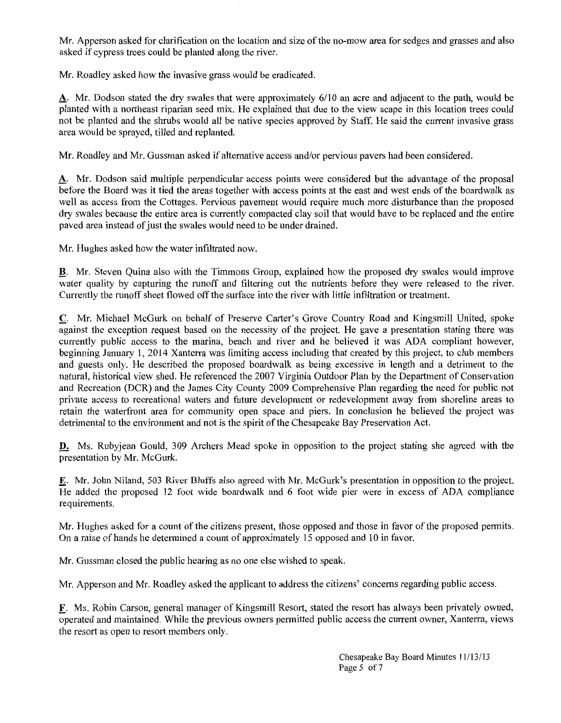Mr. Apperson asked for clarification on the location and size of the no-mow area for sedges and grasses and also asked if cypress trees could be planted along the river.

Mr. Roadley asked how the invasive grass would be eradicated.

A. Mr. Dodson stated the dry swales that were approximately 6/10 an acre and adjacent to the path, would be planted with a northeast riparian seed mix. He explained that due to the view scape in this location trees could not be planted and the shrubs would all be native species approved by Staff. He said the current invasive grass area would be sprayed, tilled and replanted.

Mr. Roadley and Mr. Gussman asked if alternative access and/or pervious pavers had been considered.

A. Mr. Dodson said multiple perpendicular access points were considered but the advantage of the proposal before the Board was it tied the areas together with access points at the east and west ends of the boardwalk as well as access from the Cottages. Pervious pavement would require much more disturbance than the proposed dry swales because the entire area is currently compacted clay soil that would have to be replaced and the entire paved area instead of just the swales would need to be under drained.

Mr. Hughes asked how the water infiltrated now.

\_!!. Mr. Steven Quina also with the Timmons Group, explained how the proposed dry swales would improve water quality by capturing the runoff and filtering out the nutrients before they were released to the river. Currently the runoff sheet flowed off the surface into the river with little infiltration or treatment.

C. Mr. Michael McGurk on behalf of Preserve Carter's Grove Country Road and Kingsmill United, spoke against the exception request based on the necessity of the project. He gave a presentation stating there was currently public access to the marina, beach and river and he believed it was ADA compliant however, beginning January 1, 2014 Xanterra was limiting access including that created by this project, to club members and guests only. He described the proposed boardwalk as being excessive in length and a detriment to the natural, historical view shed. He referenced the 2007 Virginia Outdoor Plan by the Department of Conservation and Recreation (DCR) and the James City County 2009 Comprehensive Plan regarding the need for public not private access to recreational waters and future development or redevelopment away from shoreline areas to retain the waterfront area for community open space and piers. In conclusion he believed the project was detrimental to the environment and not is the spirit of the Chesapeake Bay Preservation Act.

D. Ms. Rubyjean Gould, 309 Archers Mead spoke in opposition to the project stating she agreed with the presentation by Mr. McGurk.

E. Mr. John Niland, 503 River Bluffs also agreed with Mr. McGurk's presentation in opposition to the project. He added the proposed 12 foot wide boardwalk and 6 foot wide pier were in excess of ADA compliance requirements.

Mr. Hughes asked for a count of the citizens present, those opposed and those in favor of the proposed permits. On a raise of hands he determined a count of approximately 15 opposed and 10 in favor.

Mr. Gussman closed the public hearing as no one else wished to speak.

Mr. Apperson and Mr. Roadley asked the applicant to address the citizens' concerns regarding public access.

\_E. Ms. Robin Carson, general manager of Kingsmill Resort, stated the resort has always been privately owned, operated and maintained. While the previous owners permitted public access the current owner, Xanterra, views the resort as open to resort members only.

> Chesapeake Bay Board Minutes 11113/13 Page 5 of 7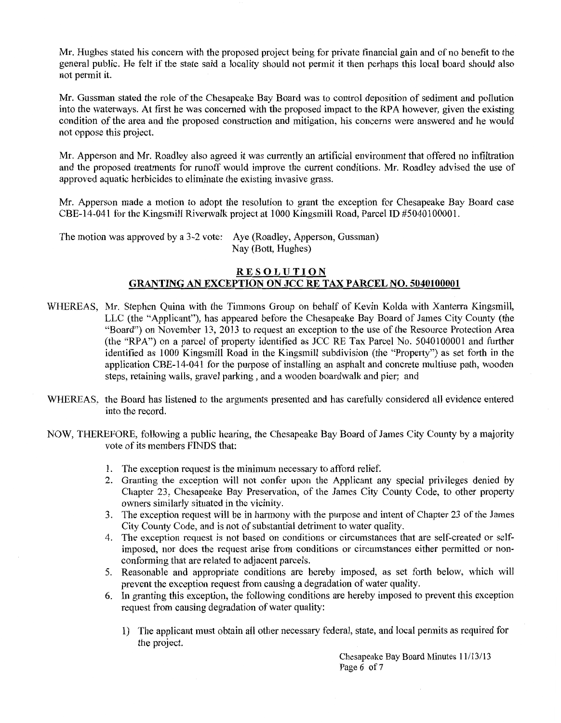Mr. Hughes stated his concern with the proposed project being for private financial gain and of no benefit to the general public. He felt if the state said a locality should not permit it then perhaps this local board should also not permit it.

Mr. Gussman stated the role of the Chesapeake Bay Board was to control deposition of sediment and pollution into the waterways. At first he was concerned with the proposed impact to the RPA however, given the existing condition of the area and the proposed construction and mitigation, his concerns were answered and he would not oppose this project.

Mr. Apperson and Mr. Roadley also agreed it was currently an artificial environment that offered no infiltration and the proposed treatments for runoff would improve the current conditions. Mr. Roadley advised the use of approved aquatic herbicides to eliminate the existing invasive grass.

Mr. Apperson made a motion to adopt the resolution to grant the exception for Chesapeake Bay Board case CBE-14-041 for the Kingsmill Riverwalk project at 1000 Kingsmill Road, Parcel ID #5040 100001.

The motion was approved by a 3-2 vote: Aye (Roadley, Apperson, Gussman) Nay (Bott, Hughes)

#### **RESOLUTION GRANTING AN EXCEPTION ON JCC RE TAX PARCEL NO. 5040100001**

- WHEREAS, Mr. Stephen Quina with the Timmons Group on behalf of Kevin Kolda with Xanterra Kingsmill, LLC (the "Applicant"), has appeared before the Chesapeake Bay Board of James City County (the "Board") on November 13, 2013 to request an exception to the use of the Resource Protection Area (the "RPA") on a parcel of property identified as JCC RE Tax Parcel No. 5040100001 and further identified as 1000 Kingsmill Road in the Kingsmill subdivision (the "Property") as set forth in the application CBE-14-041 for the purpose of installing an asphalt and concrete multiuse path, wooden steps, retaining walls, gravel parking , and a wooden boardwalk and pier; and
- WHEREAS, the Board has listened to the arguments presented and has carefully considered all evidence entered into the record.
- NOW, THEREFORE, following a public hearing, the Chesapeake Bay Board of James City County by a majority vote of its members FINDS that:
	- 1. The exception request is the minimum necessary to afford relief.
	- 2. Granting the exception will not confer upon the Applicant any special privileges denied by Chapter 23, Chesapeake Bay Preservation, of the James City County Code, to other property owners similarly situated in the vicinity.
	- 3. The exception request will be in harmony with the purpose and intent of Chapter 23 of the James City County Code, and is not of substantial detriment to water quality.
	- 4. The exception request is not based on conditions or circumstances that are self-created or selfimposed, nor does the request arise from conditions or circumstances either permitted or nonconforming that are related to adjacent parcels.
	- 5. Reasonable and appropriate conditions are hereby imposed, as set forth below, which will prevent the exception request from causing a degradation of water quality.
	- 6. In granting this exception, the following conditions are hereby imposed to prevent this exception request from causing degradation of water quality:
		- 1) The applicant must obtain all other necessary federal, state, and local permits as required for the project.

Chesapeake Bay Board Minutes 11/13/13 Page 6 of 7